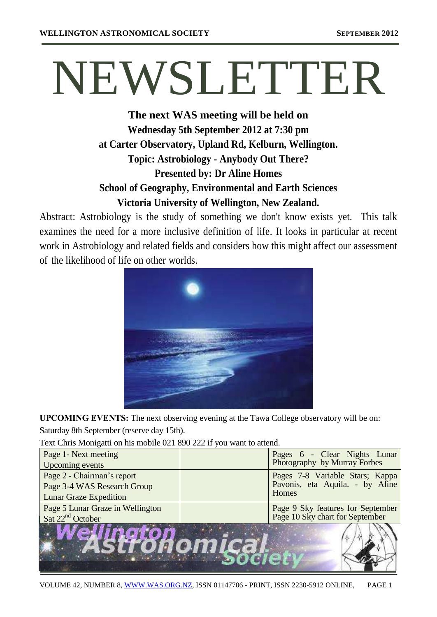# NEWSLETTER

# **The next WAS meeting will be held on Wednesday 5th September 2012 at 7:30 pm at Carter Observatory, Upland Rd, Kelburn, Wellington. Topic: Astrobiology - Anybody Out There? Presented by: Dr Aline Homes School of Geography, Environmental and Earth Sciences Victoria University of Wellington, New Zealand.**

Abstract: Astrobiology is the study of something we don't know exists yet. This talk examines the need for a more inclusive definition of life. It looks in particular at recent work in Astrobiology and related fields and considers how this might affect our assessment of the likelihood of life on other worlds.



**UPCOMING EVENTS:** The next observing evening at the Tawa College observatory will be on: Saturday 8th September (reserve day 15th).

Text Chris Monigatti on his mobile 021 890 222 if you want to attend.

| Page 1- Next meeting<br>Upcoming events                                                    | Pages 6 - Clear Nights Lunar<br>Photography by Murray Forbes                |  |
|--------------------------------------------------------------------------------------------|-----------------------------------------------------------------------------|--|
| Page 2 - Chairman's report<br>Page 3-4 WAS Research Group<br><b>Lunar Graze Expedition</b> | Pages 7-8 Variable Stars; Kappa<br>Pavonis, eta Aquila. - by Aline<br>Homes |  |
| Page 5 Lunar Graze in Wellington<br>Sat $22nd$ October                                     | Page 9 Sky features for September<br>Page 10 Sky chart for September        |  |
|                                                                                            |                                                                             |  |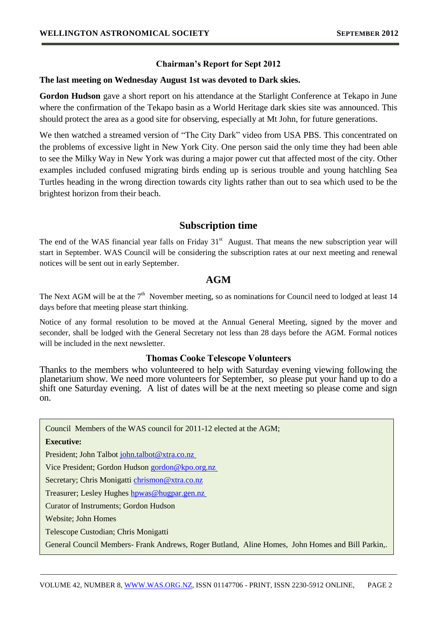## **Chairman's Report for Sept 2012**

## **The last meeting on Wednesday August 1st was devoted to Dark skies.**

**Gordon Hudson** gave a short report on his attendance at the Starlight Conference at Tekapo in June where the confirmation of the Tekapo basin as a World Heritage dark skies site was announced. This should protect the area as a good site for observing, especially at Mt John, for future generations.

We then watched a streamed version of "The City Dark" video from USA PBS. This concentrated on the problems of excessive light in New York City. One person said the only time they had been able to see the Milky Way in New York was during a major power cut that affected most of the city. Other examples included confused migrating birds ending up is serious trouble and young hatchling Sea Turtles heading in the wrong direction towards city lights rather than out to sea which used to be the brightest horizon from their beach.

## **Subscription time**

The end of the WAS financial year falls on Friday  $31<sup>st</sup>$  August. That means the new subscription year will start in September. WAS Council will be considering the subscription rates at our next meeting and renewal notices will be sent out in early September.

## **AGM**

The Next AGM will be at the  $7<sup>th</sup>$  November meeting, so as nominations for Council need to lodged at least 14 days before that meeting please start thinking.

Notice of any formal resolution to be moved at the Annual General Meeting, signed by the mover and seconder, shall be lodged with the General Secretary not less than 28 days before the AGM. Formal notices will be included in the next newsletter.

## **Thomas Cooke Telescope Volunteers**

Thanks to the members who volunteered to help with Saturday evening viewing following the planetarium show. We need more volunteers for September, so please put your hand up to do a shift one Saturday evening. A list of dates will be at the next meeting so please come and sign on.

Council Members of the WAS council for 2011-12 elected at the AGM;

#### **Executive:**

President; John Talbot [john.talbot@xtra.co.nz](mailto:john.talbot@xtra.co.nz)

Vice President; Gordon Hudson [gordon@kpo.org.nz](mailto:gordon@kpo.org.nz)

Secretary; Chris Monigatti [chrismon@xtra.co.nz](mailto:chrismon@xtra.co.nz)

Treasurer; Lesley Hughes howas@hugpar.gen.nz

Curator of Instruments; Gordon Hudson

Website; John Homes

Telescope Custodian; Chris Monigatti

newsletter Editor; Vicki Irons and Theoretical Indian Property and Theoretical Indian Property and Theoretical

General Council Members- Frank Andrews, Roger Butland, Aline Homes, John Homes and Bill Parkin,.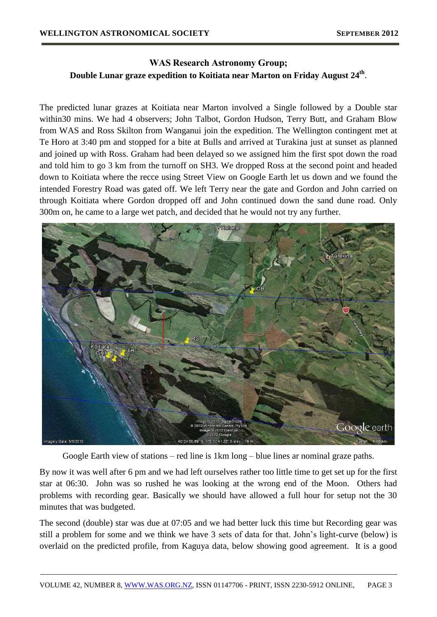## **WAS Research Astronomy Group; Double Lunar graze expedition to Koitiata near Marton on Friday August 24th** .

The predicted lunar grazes at Koitiata near Marton involved a Single followed by a Double star within30 mins. We had 4 observers; John Talbot, Gordon Hudson, Terry Butt, and Graham Blow from WAS and Ross Skilton from Wanganui join the expedition. The Wellington contingent met at Te Horo at 3:40 pm and stopped for a bite at Bulls and arrived at Turakina just at sunset as planned and joined up with Ross. Graham had been delayed so we assigned him the first spot down the road and told him to go 3 km from the turnoff on SH3. We dropped Ross at the second point and headed down to Koitiata where the recce using Street View on Google Earth let us down and we found the intended Forestry Road was gated off. We left Terry near the gate and Gordon and John carried on through Koitiata where Gordon dropped off and John continued down the sand dune road. Only 300m on, he came to a large wet patch, and decided that he would not try any further.



Google Earth view of stations – red line is 1km long – blue lines ar nominal graze paths.

By now it was well after 6 pm and we had left ourselves rather too little time to get set up for the first star at 06:30. John was so rushed he was looking at the wrong end of the Moon. Others had problems with recording gear. Basically we should have allowed a full hour for setup not the 30 minutes that was budgeted.

The second (double) star was due at 07:05 and we had better luck this time but Recording gear was still a problem for some and we think we have 3 sets of data for that. John's light-curve (below) is overlaid on the predicted profile, from Kaguya data, below showing good agreement. It is a good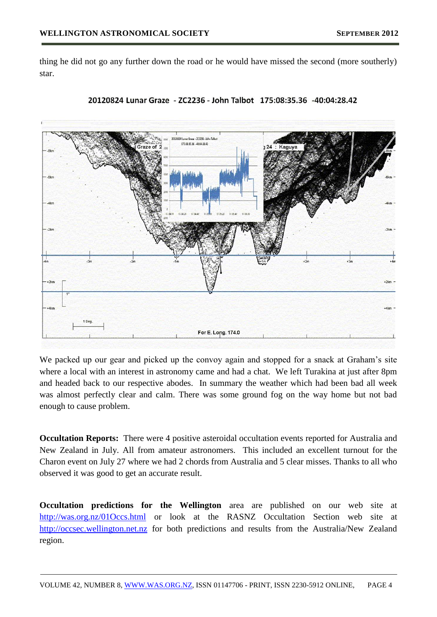thing he did not go any further down the road or he would have missed the second (more southerly) star.





We packed up our gear and picked up the convoy again and stopped for a snack at Graham's site where a local with an interest in astronomy came and had a chat. We left Turakina at just after 8pm and headed back to our respective abodes. In summary the weather which had been bad all week was almost perfectly clear and calm. There was some ground fog on the way home but not bad enough to cause problem.

**Occultation Reports:** There were 4 positive asteroidal occultation events reported for Australia and New Zealand in July. All from amateur astronomers. This included an excellent turnout for the Charon event on July 27 where we had 2 chords from Australia and 5 clear misses. Thanks to all who observed it was good to get an accurate result.

**Occultation predictions for the Wellington** area are published on our web site at <http://was.org.nz/01Occs.html> or look at the RASNZ Occultation Section web site at [http://occsec.wellington.net.nz](http://occsec.wellington.net.nz/) for both predictions and results from the Australia/New Zealand region.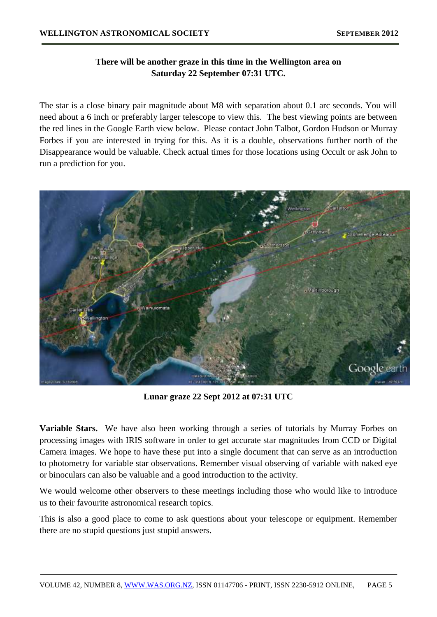## **There will be another graze in this time in the Wellington area on Saturday 22 September 07:31 UTC.**

The star is a close binary pair magnitude about M8 with separation about 0.1 arc seconds. You will need about a 6 inch or preferably larger telescope to view this. The best viewing points are between the red lines in the Google Earth view below. Please contact John Talbot, Gordon Hudson or Murray Forbes if you are interested in trying for this. As it is a double, observations further north of the Disappearance would be valuable. Check actual times for those locations using Occult or ask John to run a prediction for you.



**Lunar graze 22 Sept 2012 at 07:31 UTC**

**Variable Stars.** We have also been working through a series of tutorials by Murray Forbes on processing images with IRIS software in order to get accurate star magnitudes from CCD or Digital Camera images. We hope to have these put into a single document that can serve as an introduction to photometry for variable star observations. Remember visual observing of variable with naked eye or binoculars can also be valuable and a good introduction to the activity.

We would welcome other observers to these meetings including those who would like to introduce us to their favourite astronomical research topics.

This is also a good place to come to ask questions about your telescope or equipment. Remember there are no stupid questions just stupid answers.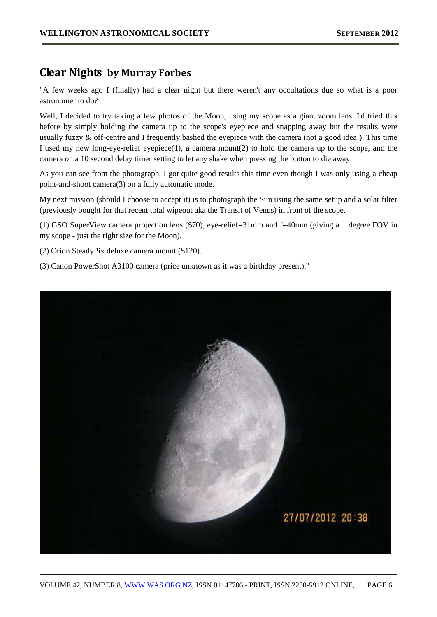## **Clear Nights by Murray Forbes**

"A few weeks ago I (finally) had a clear night but there weren't any occultations due so what is a poor astronomer to do?

Well, I decided to try taking a few photos of the Moon, using my scope as a giant zoom lens. I'd tried this before by simply holding the camera up to the scope's eyepiece and snapping away but the results were usually fuzzy & off-centre and I frequently bashed the eyepiece with the camera (not a good idea!). This time I used my new long-eye-relief eyepiece(1), a camera mount(2) to hold the camera up to the scope, and the camera on a 10 second delay timer setting to let any shake when pressing the button to die away.

As you can see from the photograph, I got quite good results this time even though I was only using a cheap point-and-shoot camera(3) on a fully automatic mode.

My next mission (should I choose to accept it) is to photograph the Sun using the same setup and a solar filter (previously bought for that recent total wipeout aka the Transit of Venus) in front of the scope.

(1) GSO SuperView camera projection lens (\$70), eye-relief=31mm and f=40mm (giving a 1 degree FOV in my scope - just the right size for the Moon).

(2) Orion SteadyPix deluxe camera mount (\$120).

(3) Canon PowerShot A3100 camera (price unknown as it was a birthday present)."

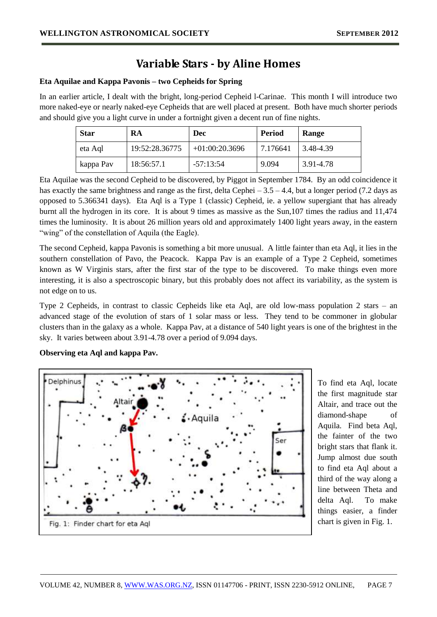## **Variable Stars - by Aline Homes**

#### **Eta Aquilae and Kappa Pavonis – two Cepheids for Spring**

In an earlier article, I dealt with the bright, long-period Cepheid l-Carinae. This month I will introduce two more naked-eye or nearly naked-eye Cepheids that are well placed at present. Both have much shorter periods and should give you a light curve in under a fortnight given a decent run of fine nights.

| <b>Star</b> | RA             | <b>Dec</b>       | <b>Period</b> | Range                     |
|-------------|----------------|------------------|---------------|---------------------------|
| eta Aql     | 19:52:28.36775 | $+01:00:20.3696$ | 7.176641      | $\vert 3.48 - 4.39 \vert$ |
| kappa Pav   | 18:56:57.1     | $-57:13:54$      | 9.094         | 3.91-4.78                 |

Eta Aquilae was the second Cepheid to be discovered, by Piggot in September 1784. By an odd coincidence it has exactly the same brightness and range as the first, delta Cephei – 3.5 – 4.4, but a longer period (7.2 days as opposed to 5.366341 days). Eta Aql is a Type 1 (classic) Cepheid, ie. a yellow supergiant that has already burnt all the hydrogen in its core. It is about 9 times as massive as the Sun,107 times the radius and 11,474 times the luminosity. It is about 26 million years old and approximately 1400 light years away, in the eastern "wing" of the constellation of Aquila (the Eagle).

The second Cepheid, kappa Pavonis is something a bit more unusual. A little fainter than eta Aql, it lies in the southern constellation of Pavo, the Peacock. Kappa Pav is an example of a Type 2 Cepheid, sometimes known as W Virginis stars, after the first star of the type to be discovered. To make things even more interesting, it is also a spectroscopic binary, but this probably does not affect its variability, as the system is not edge on to us.

Type 2 Cepheids, in contrast to classic Cepheids like eta Aql, are old low-mass population 2 stars – an advanced stage of the evolution of stars of 1 solar mass or less. They tend to be commoner in globular clusters than in the galaxy as a whole. Kappa Pav, at a distance of 540 light years is one of the brightest in the sky. It varies between about 3.91-4.78 over a period of 9.094 days.

#### **Observing eta Aql and kappa Pav.**



To find eta Aql, locate the first magnitude star Altair, and trace out the diamond-shape of Aquila. Find beta Aql, the fainter of the two bright stars that flank it. Jump almost due south to find eta Aql about a third of the way along a line between Theta and delta Aql. To make things easier, a finder chart is given in Fig. 1.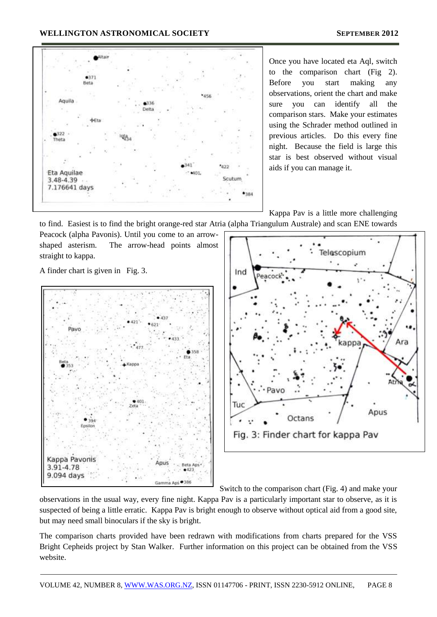#### **WELLINGTON ASTRONOMICAL SOCIETY SEPTEMBER 2012**



Once you have located eta Aql, switch to the comparison chart (Fig 2). Before you start making any observations, orient the chart and make sure you can identify all the comparison stars. Make your estimates using the Schrader method outlined in previous articles. Do this every fine night. Because the field is large this star is best observed without visual aids if you can manage it.

Kappa Pav is a little more challenging

to find. Easiest is to find the bright orange-red star Atria (alpha Triangulum Australe) and scan ENE towards

Peacock (alpha Pavonis). Until you come to an arrowshaped asterism. The arrow-head points almost straight to kappa.

A finder chart is given in Fig. 3.





Switch to the comparison chart (Fig. 4) and make your

observations in the usual way, every fine night. Kappa Pav is a particularly important star to observe, as it is suspected of being a little erratic. Kappa Pav is bright enough to observe without optical aid from a good site, but may need small binoculars if the sky is bright.

The comparison charts provided have been redrawn with modifications from charts prepared for the VSS Bright Cepheids project by Stan Walker. Further information on this project can be obtained from the VSS website.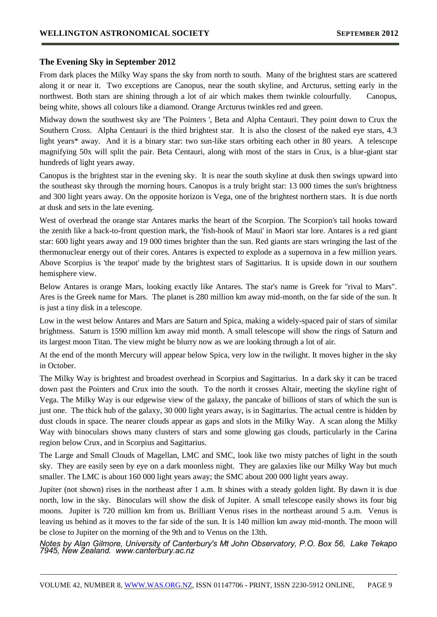## **The Evening Sky in September 2012**

From dark places the Milky Way spans the sky from north to south. Many of the brightest stars are scattered along it or near it. Two exceptions are Canopus, near the south skyline, and Arcturus, setting early in the northwest. Both stars are shining through a lot of air which makes them twinkle colourfully. Canopus, being white, shows all colours like a diamond. Orange Arcturus twinkles red and green.

Midway down the southwest sky are 'The Pointers ', Beta and Alpha Centauri. They point down to Crux the Southern Cross. Alpha Centauri is the third brightest star. It is also the closest of the naked eye stars, 4.3 light years\* away. And it is a binary star: two sun-like stars orbiting each other in 80 years. A telescope magnifying 50x will split the pair. Beta Centauri, along with most of the stars in Crux, is a blue-giant star hundreds of light years away.

Canopus is the brightest star in the evening sky. It is near the south skyline at dusk then swings upward into the southeast sky through the morning hours. Canopus is a truly bright star: 13 000 times the sun's brightness and 300 light years away. On the opposite horizon is Vega, one of the brightest northern stars. It is due north at dusk and sets in the late evening.

West of overhead the orange star Antares marks the heart of the Scorpion. The Scorpion's tail hooks toward the zenith like a back-to-front question mark, the 'fish-hook of Maui' in Maori star lore. Antares is a red giant star: 600 light years away and 19 000 times brighter than the sun. Red giants are stars wringing the last of the thermonuclear energy out of their cores. Antares is expected to explode as a supernova in a few million years. Above Scorpius is 'the teapot' made by the brightest stars of Sagittarius. It is upside down in our southern hemisphere view.

Below Antares is orange Mars, looking exactly like Antares. The star's name is Greek for "rival to Mars". Ares is the Greek name for Mars. The planet is 280 million km away mid-month, on the far side of the sun. It is just a tiny disk in a telescope.

Low in the west below Antares and Mars are Saturn and Spica, making a widely-spaced pair of stars of similar brightness. Saturn is 1590 million km away mid month. A small telescope will show the rings of Saturn and its largest moon Titan. The view might be blurry now as we are looking through a lot of air.

At the end of the month Mercury will appear below Spica, very low in the twilight. It moves higher in the sky in October.

The Milky Way is brightest and broadest overhead in Scorpius and Sagittarius. In a dark sky it can be traced down past the Pointers and Crux into the south. To the north it crosses Altair, meeting the skyline right of Vega. The Milky Way is our edgewise view of the galaxy, the pancake of billions of stars of which the sun is just one. The thick hub of the galaxy, 30 000 light years away, is in Sagittarius. The actual centre is hidden by dust clouds in space. The nearer clouds appear as gaps and slots in the Milky Way. A scan along the Milky Way with binoculars shows many clusters of stars and some glowing gas clouds, particularly in the Carina region below Crux, and in Scorpius and Sagittarius.

The Large and Small Clouds of Magellan, LMC and SMC, look like two misty patches of light in the south sky. They are easily seen by eye on a dark moonless night. They are galaxies like our Milky Way but much smaller. The LMC is about 160 000 light years away; the SMC about 200 000 light years away.

Jupiter (not shown) rises in the northeast after 1 a.m. It shines with a steady golden light. By dawn it is due north, low in the sky. Binoculars will show the disk of Jupiter. A small telescope easily shows its four big moons. Jupiter is 720 million km from us. Brilliant Venus rises in the northeast around 5 a.m. Venus is leaving us behind as it moves to the far side of the sun. It is 140 million km away mid-month. The moon will be close to Jupiter on the morning of the 9th and to Venus on the 13th.

*Notes by Alan Gilmore, University of Canterbury's Mt John Observatory, P.O. Box 56, Lake Tekapo 7945, New Zealand. www.canterbury.ac.nz*